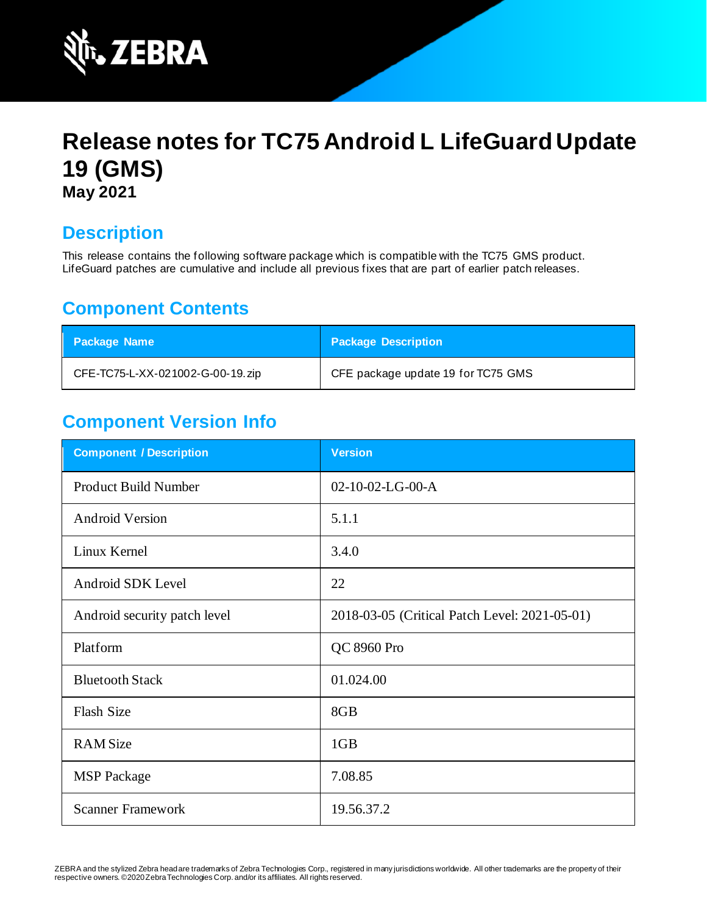

# **Release notes for TC75 Android L LifeGuard Update 19 (GMS) May 2021**

# **Description**

This release contains the following software package which is compatible with the TC75 GMS product. LifeGuard patches are cumulative and include all previous fixes that are part of earlier patch releases.

# **Component Contents**

| <b>Package Name</b>              | <b>Package Description</b>         |
|----------------------------------|------------------------------------|
| CFE-TC75-L-XX-021002-G-00-19.zip | CFE package update 19 for TC75 GMS |

# **Component Version Info**

| <b>Component / Description</b> | <b>Version</b>                                |
|--------------------------------|-----------------------------------------------|
| <b>Product Build Number</b>    | 02-10-02-LG-00-A                              |
| <b>Android Version</b>         | 5.1.1                                         |
| Linux Kernel                   | 3.4.0                                         |
| Android SDK Level              | 22                                            |
| Android security patch level   | 2018-03-05 (Critical Patch Level: 2021-05-01) |
| Platform                       | QC 8960 Pro                                   |
| <b>Bluetooth Stack</b>         | 01.024.00                                     |
| Flash Size                     | 8GB                                           |
| <b>RAM Size</b>                | 1GB                                           |
| <b>MSP</b> Package             | 7.08.85                                       |
| <b>Scanner Framework</b>       | 19.56.37.2                                    |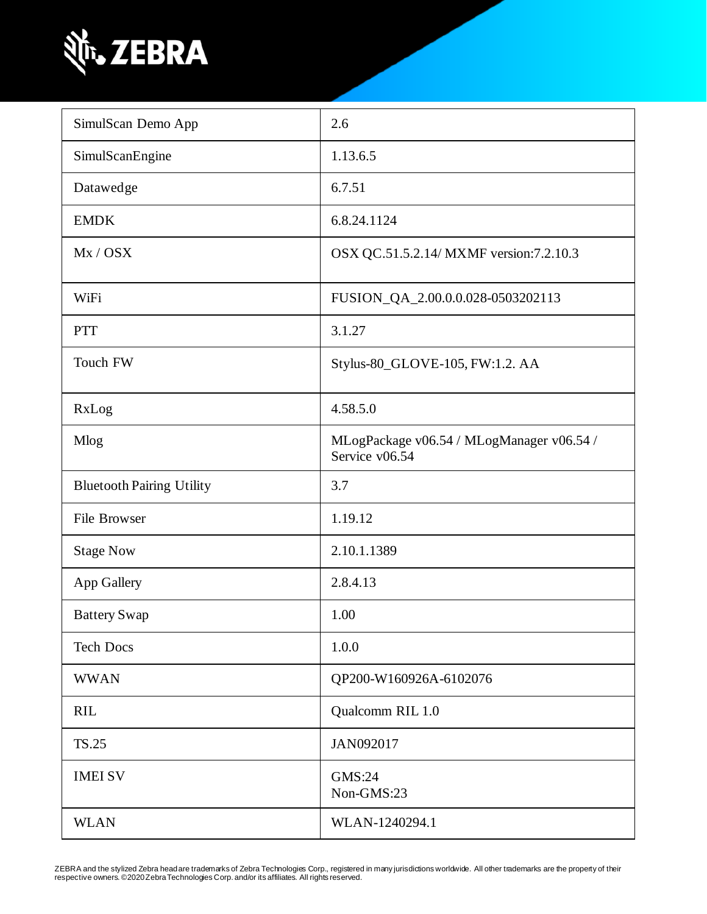

| SimulScan Demo App               | 2.6                                                         |
|----------------------------------|-------------------------------------------------------------|
| SimulScanEngine                  | 1.13.6.5                                                    |
| Datawedge                        | 6.7.51                                                      |
| <b>EMDK</b>                      | 6.8.24.1124                                                 |
| Mx / OSX                         | OSX QC.51.5.2.14/ MXMF version:7.2.10.3                     |
| WiFi                             | FUSION_QA_2.00.0.0.028-0503202113                           |
| <b>PTT</b>                       | 3.1.27                                                      |
| <b>Touch FW</b>                  | Stylus-80_GLOVE-105, FW:1.2. AA                             |
| RxLog                            | 4.58.5.0                                                    |
| Mlog                             | MLogPackage v06.54 / MLogManager v06.54 /<br>Service v06.54 |
| <b>Bluetooth Pairing Utility</b> | 3.7                                                         |
| File Browser                     | 1.19.12                                                     |
| <b>Stage Now</b>                 | 2.10.1.1389                                                 |
| App Gallery                      | 2.8.4.13                                                    |
| <b>Battery Swap</b>              | 1.00                                                        |
| <b>Tech Docs</b>                 | 1.0.0                                                       |
| <b>WWAN</b>                      | QP200-W160926A-6102076                                      |
| <b>RIL</b>                       | Qualcomm RIL 1.0                                            |
| <b>TS.25</b>                     | JAN092017                                                   |
| <b>IMEI SV</b>                   | <b>GMS:24</b><br>Non-GMS:23                                 |
| <b>WLAN</b>                      | WLAN-1240294.1                                              |

ZEBRA and the stylized Zebra headare trademarks of Zebra Technologies Corp., registered in many jurisdictions worldwide. All other trademarks are the property of their<br>respective owners.©2020ZebraTechnologies Corp. and/or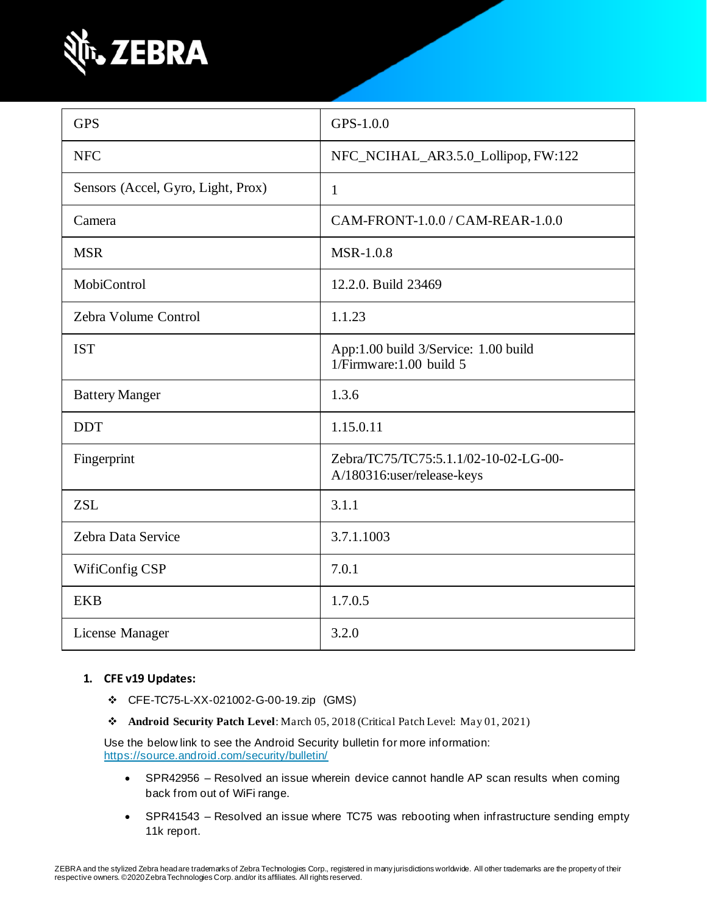

| <b>GPS</b>                         | GPS-1.0.0                                                           |
|------------------------------------|---------------------------------------------------------------------|
| <b>NFC</b>                         | NFC_NCIHAL_AR3.5.0_Lollipop, FW:122                                 |
| Sensors (Accel, Gyro, Light, Prox) | $\mathbf{1}$                                                        |
| Camera                             | CAM-FRONT-1.0.0 / CAM-REAR-1.0.0                                    |
| <b>MSR</b>                         | <b>MSR-1.0.8</b>                                                    |
| MobiControl                        | 12.2.0. Build 23469                                                 |
| Zebra Volume Control               | 1.1.23                                                              |
| <b>IST</b>                         | App:1.00 build 3/Service: 1.00 build<br>1/Firmware:1.00 build 5     |
| <b>Battery Manger</b>              | 1.3.6                                                               |
| <b>DDT</b>                         | 1.15.0.11                                                           |
| Fingerprint                        | Zebra/TC75/TC75:5.1.1/02-10-02-LG-00-<br>A/180316:user/release-keys |
| <b>ZSL</b>                         | 3.1.1                                                               |
| Zebra Data Service                 | 3.7.1.1003                                                          |
| WifiConfig CSP                     | 7.0.1                                                               |
| <b>EKB</b>                         | 1.7.0.5                                                             |
| License Manager                    | 3.2.0                                                               |

## **1. CFE v19 Updates:**

- ❖ CFE-TC75-L-XX-021002-G-00-19.zip (GMS)
- ❖ **Android Security Patch Level**: March 05, 2018 (Critical Patch Level: May 01, 2021)

Use the below link to see the Android Security bulletin for more information: <https://source.android.com/security/bulletin/>

- [SPR4](https://jiraemv.zebra.com/browse/BSPA-131963)2956 Resolved an issue wherein device cannot handle AP scan results when coming back from out of WiFi range.
- [SPR4](https://jiraemv.zebra.com/browse/BSPA-131963)1543 Resolved an issue where TC75 was rebooting when infrastructure sending empty 11k report.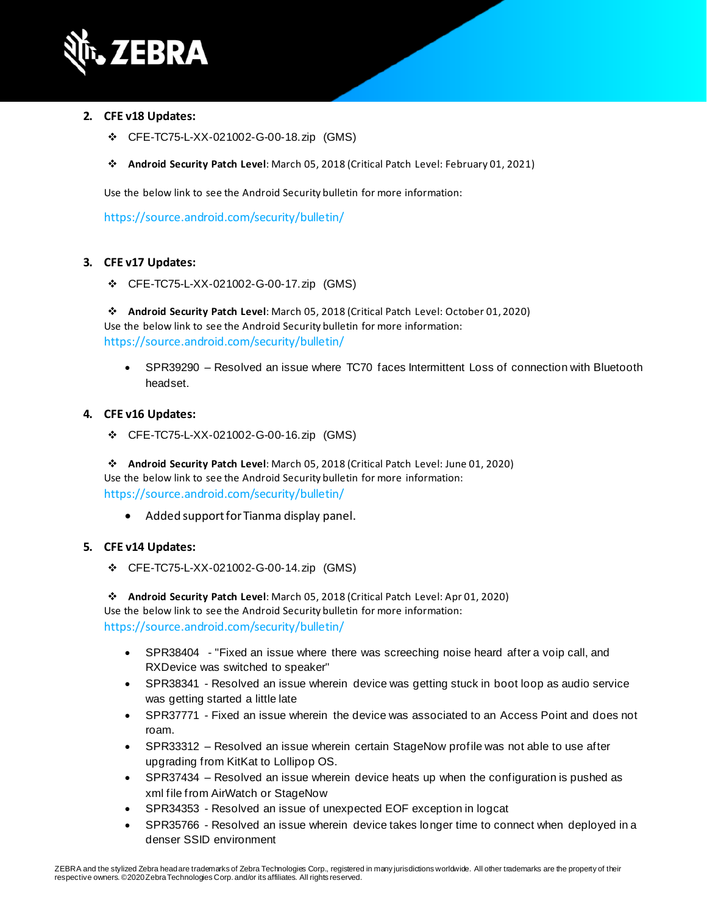

#### **2. CFE v18 Updates:**

- ❖ CFE-TC75-L-XX-021002-G-00-18.zip (GMS)
- ❖ **Android Security Patch Level**: March 05, 2018 (Critical Patch Level: February 01, 2021)

Use the below link to see the Android Security bulletin for more information:

<https://source.android.com/security/bulletin/>

### **3. CFE v17 Updates:**

❖ CFE-TC75-L-XX-021002-G-00-17.zip (GMS)

❖ **Android Security Patch Level**: March 05, 2018 (Critical Patch Level: October 01, 2020) Use the below link to see the Android Security bulletin for more information: <https://source.android.com/security/bulletin/>

• SPR39290 – Resolved an issue where TC70 faces Intermittent Loss of connection with Bluetooth headset.

#### **4. CFE v16 Updates:**

❖ CFE-TC75-L-XX-021002-G-00-16.zip (GMS)

❖ **Android Security Patch Level**: March 05, 2018 (Critical Patch Level: June 01, 2020) Use the below link to see the Android Security bulletin for more information: <https://source.android.com/security/bulletin/>

• Added support for Tianma display panel.

### **5. CFE v14 Updates:**

❖ CFE-TC75-L-XX-021002-G-00-14.zip (GMS)

❖ **Android Security Patch Level**: March 05, 2018 (Critical Patch Level: Apr 01, 2020) Use the below link to see the Android Security bulletin for more information: <https://source.android.com/security/bulletin/>

- [SPR38404](https://jiraemv.zebra.com/browse/BSPA-131963)  "Fixed an issue where there was screeching noise heard after a voip call, and RXDevice was switched to speaker"
- SPR38341 Resolved an issue wherein device was getting stuck in boot loop as audio service was getting started a little late
- SPR37771 Fixed an issue wherein the device was associated to an Access Point and does not roam.
- SPR33312 Resolved an issue wherein certain StageNow profile was not able to use after upgrading from KitKat to Lollipop OS.
- SPR37434 Resolved an issue wherein device heats up when the configuration is pushed as xml file from AirWatch or StageNow
- SPR34353 Resolved an issue of unexpected EOF exception in logcat
- SPR35766 Resolved an issue wherein device takes longer time to connect when deployed in a denser SSID environment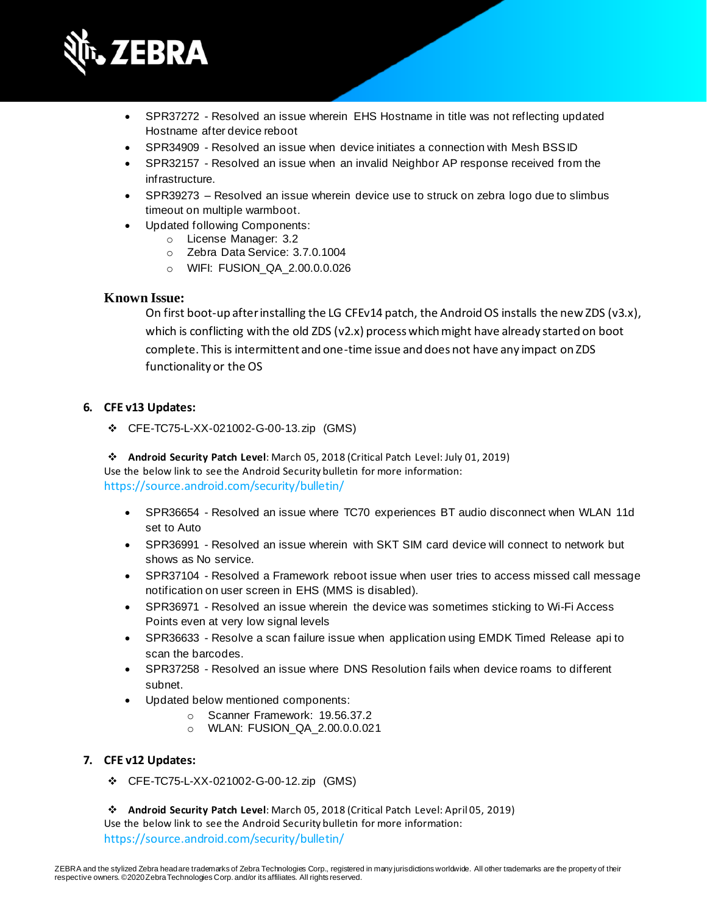

- SPR37272 Resolved an issue wherein EHS Hostname in title was not reflecting updated Hostname after device reboot
- SPR34909 Resolved an issue when device initiates a connection with Mesh BSSID
- [SPR32157](https://jiraemv.zebra.com/browse/BSPA-86471) Resolved an issue when an invalid Neighbor AP response received from the infrastructure.
- [SPR39273](https://jiraemv.zebra.com/browse/BSPA-142071) Resolved an issue wherein device use to struck on zebra logo due to slimbus timeout on multiple warmboot.
- Updated following Components:
	- o License Manager: 3.2
	- o Zebra Data Service: 3.7.0.1004
	- o WIFI: FUSION\_QA\_2.00.0.0.026

### **Known Issue:**

On first boot-up after installing the LG CFEv14 patch, the Android OS installs the new ZDS (v3.x), which is conflicting with the old ZDS (v2.x) process which might have already started on boot complete. This is intermittent and one-time issue and does not have any impact on ZDS functionality or the OS

#### **6. CFE v13 Updates:**

❖ CFE-TC75-L-XX-021002-G-00-13.zip (GMS)

❖ **Android Security Patch Level**: March 05, 2018 (Critical Patch Level: July 01, 2019) Use the below link to see the Android Security bulletin for more information: <https://source.android.com/security/bulletin/>

- SPR36654 Resolved an issue where TC70 experiences BT audio disconnect when WLAN 11d set to Auto
- SPR36991 Resolved an issue wherein with SKT SIM card device will connect to network but shows as No service.
- SPR37104 Resolved a Framework reboot issue when user tries to access missed call message notification on user screen in EHS (MMS is disabled).
- SPR36971 Resolved an issue wherein the device was sometimes sticking to Wi-Fi Access Points even at very low signal levels
- SPR36633 Resolve a scan failure issue when application using EMDK Timed Release api to scan the barcodes.
- SPR37258 Resolved an issue where DNS Resolution fails when device roams to different subnet.
- Updated below mentioned components:
	- o Scanner Framework: 19.56.37.2
	- o WLAN: FUSION\_QA\_2.00.0.0.021

#### **7. CFE v12 Updates:**

❖ CFE-TC75-L-XX-021002-G-00-12.zip (GMS)

❖ **Android Security Patch Level**: March 05, 2018 (Critical Patch Level: April 05, 2019) Use the below link to see the Android Security bulletin for more information: <https://source.android.com/security/bulletin/>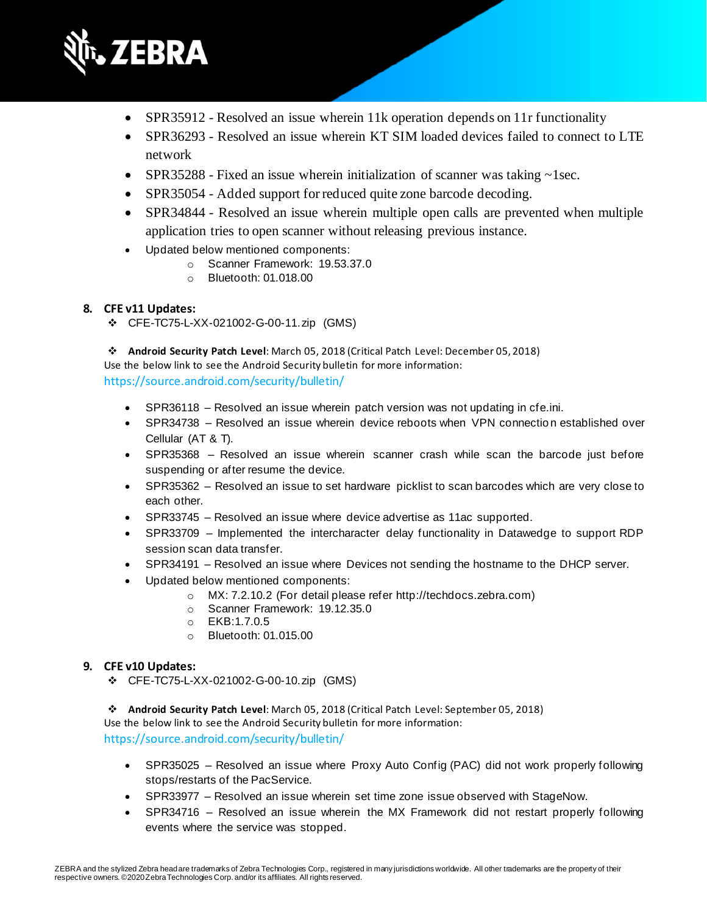

- SPR35912 Resolved an issue wherein 11k operation depends on 11r functionality
- SPR36293 Resolved an issue wherein KT SIM loaded devices failed to connect to LTE network
- SPR35288 Fixed an issue wherein initialization of scanner was taking ~1sec.
- SPR35054 Added support for reduced quite zone barcode decoding.
- SPR34844 Resolved an issue wherein multiple open calls are prevented when multiple application tries to open scanner without releasing previous instance.
- Updated below mentioned components:
	- o Scanner Framework: 19.53.37.0
	- o Bluetooth: 01.018.00

### **8. CFE v11 Updates:**

❖ CFE-TC75-L-XX-021002-G-00-11.zip (GMS)

❖ **Android Security Patch Level**: March 05, 2018 (Critical Patch Level: December 05, 2018) Use the below link to see the Android Security bulletin for more information: <https://source.android.com/security/bulletin/>

- SPR36118 Resolved an issue wherein patch version was not updating in cfe.ini.
- SPR34738 Resolved an issue wherein device reboots when VPN connection established over Cellular (AT & T).
- SPR35368 Resolved an issue wherein scanner crash while scan the barcode just before suspending or after resume the device.
- SPR35362 Resolved an issue to set hardware picklist to scan barcodes which are very close to each other.
- SPR33745 Resolved an issue where device advertise as 11ac supported.
- SPR33709 Implemented the intercharacter delay functionality in Datawedge to support RDP session scan data transfer.
- SPR34191 Resolved an issue where Devices not sending the hostname to the DHCP server.
- Updated below mentioned components:
	- o MX: 7.2.10.2 (For detail please refer [http://techdocs.zebra.com](http://techdocs.zebra.com/))
	- o Scanner Framework: 19.12.35.0
	- o EKB:1.7.0.5
	- o Bluetooth: 01.015.00

### **9. CFE v10 Updates:**

❖ CFE-TC75-L-XX-021002-G-00-10.zip (GMS)

❖ **Android Security Patch Level**: March 05, 2018 (Critical Patch Level: September 05, 2018) Use the below link to see the Android Security bulletin for more information: <https://source.android.com/security/bulletin/>

- SPR35025 Resolved an issue where Proxy Auto Config (PAC) did not work properly following stops/restarts of the PacService.
- SPR33977 Resolved an issue wherein set time zone issue observed with StageNow.
- SPR34716 Resolved an issue wherein the MX Framework did not restart properly following events where the service was stopped.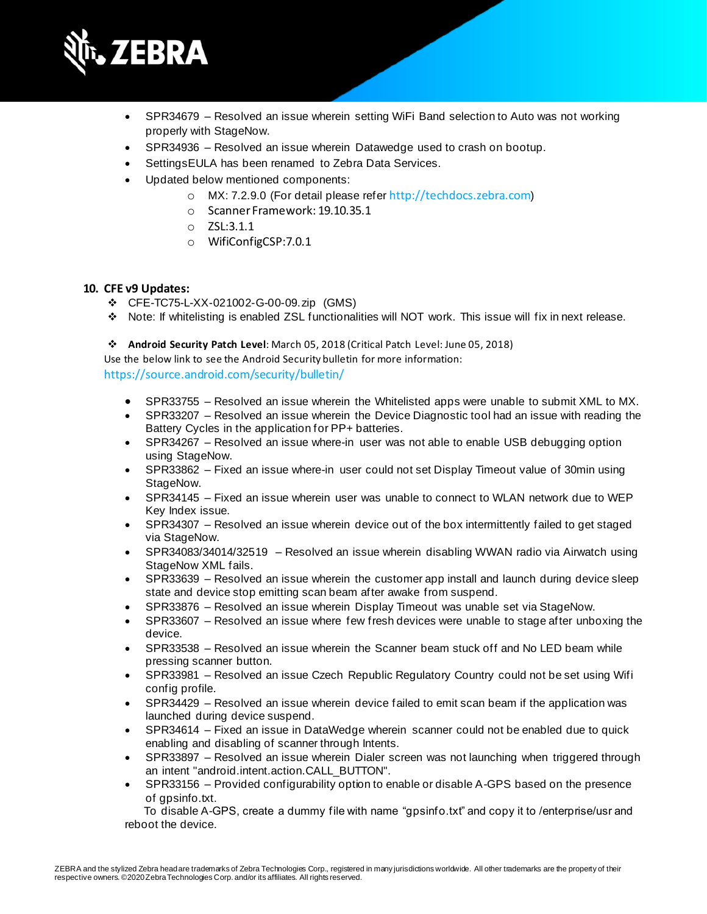

- SPR34679 Resolved an issue wherein setting WiFi Band selection to Auto was not working properly with StageNow.
- SPR34936 Resolved an issue wherein Datawedge used to crash on bootup.
- SettingsEULA has been renamed to Zebra Data Services.
- Updated below mentioned components:
	- o MX: 7.2.9.0 (For detail please refer [http://techdocs.zebra.com](http://techdocs.zebra.com/))
	- o Scanner Framework: 19.10.35.1
	- o ZSL:3.1.1
	- o WifiConfigCSP:7.0.1

#### **10. CFE v9 Updates:**

- ❖ CFE-TC75-L-XX-021002-G-00-09.zip (GMS)
- ❖ Note: If whitelisting is enabled ZSL functionalities will NOT work. This issue will fix in next release.

❖ **Android Security Patch Level**: March 05, 2018 (Critical Patch Level: June 05, 2018)

Use the below link to see the Android Security bulletin for more information:

<https://source.android.com/security/bulletin/>

- SPR33755 Resolved an issue wherein the Whitelisted apps were unable to submit XML to MX.
- SPR33207 Resolved an issue wherein the Device Diagnostic tool had an issue with reading the Battery Cycles in the application for PP+ batteries.
- SPR34267 Resolved an issue where-in user was not able to enable USB debugging option using StageNow.
- SPR33862 Fixed an issue where-in user could not set Display Timeout value of 30min using StageNow.
- SPR34145 Fixed an issue wherein user was unable to connect to WLAN network due to WEP Key Index issue.
- SPR34307 Resolved an issue wherein device out of the box intermittently failed to get staged via StageNow.
- SPR34083/34014/32519 Resolved an issue wherein disabling WWAN radio via Airwatch using StageNow XML fails.
- SPR33639 Resolved an issue wherein the customer app install and launch during device sleep state and device stop emitting scan beam after awake from suspend.
- SPR33876 Resolved an issue wherein Display Timeout was unable set via StageNow.
- SPR33607 Resolved an issue where few fresh devices were unable to stage after unboxing the device.
- SPR33538 Resolved an issue wherein the Scanner beam stuck off and No LED beam while pressing scanner button.
- SPR33981 Resolved an issue Czech Republic Regulatory Country could not be set using Wifi config profile.
- SPR34429 Resolved an issue wherein device failed to emit scan beam if the application was launched during device suspend.
- SPR34614 Fixed an issue in DataWedge wherein scanner could not be enabled due to quick enabling and disabling of scanner through Intents.
- SPR33897 Resolved an issue wherein Dialer screen was not launching when triggered through an intent "android.intent.action.CALL\_BUTTON".
- SPR33156 Provided configurability option to enable or disable A-GPS based on the presence of gpsinfo.txt.

 To disable A-GPS, create a dummy file with name "gpsinfo.txt" and copy it to /enterprise/usr and reboot the device.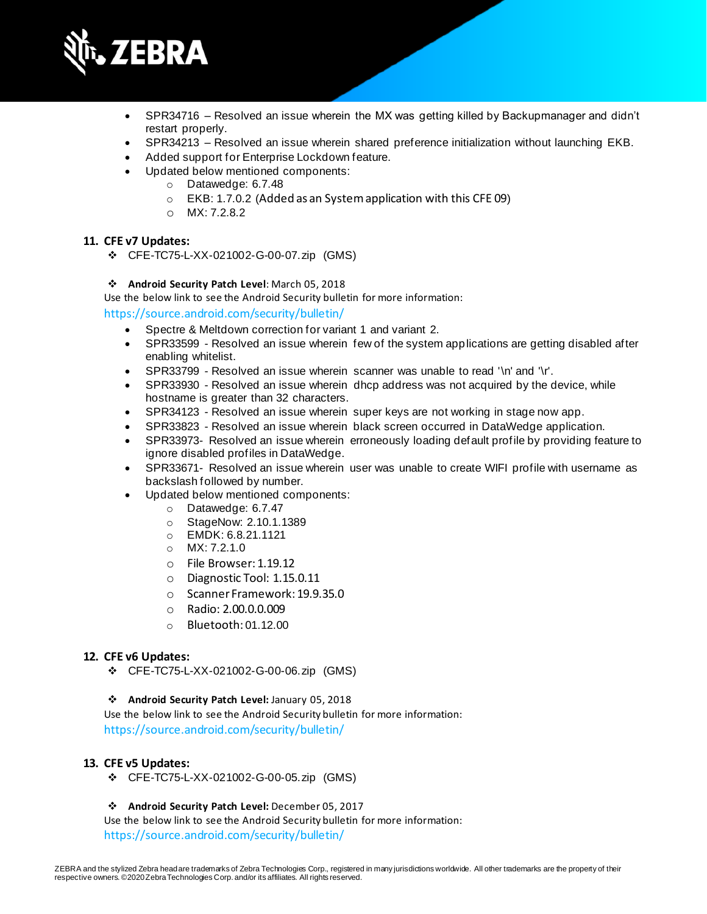

- SPR34716 Resolved an issue wherein the MX was getting killed by Backupmanager and didn't restart properly.
- SPR34213 Resolved an issue wherein shared preference initialization without launching EKB.
- Added support for Enterprise Lockdown feature.
- Updated below mentioned components:
	- o Datawedge: 6.7.48
		- o EKB: 1.7.0.2 (Added as an System application with this CFE 09)
		- o MX: 7.2.8.2

#### **11. CFE v7 Updates:**

- ❖ CFE-TC75-L-XX-021002-G-00-07.zip (GMS)
- ❖ **Android Security Patch Level**: March 05, 2018

Use the below link to see the Android Security bulletin for more information:

<https://source.android.com/security/bulletin/>

- Spectre & Meltdown correction for variant 1 and variant 2.
- SPR33599 Resolved an issue wherein few of the system applications are getting disabled after enabling whitelist.
- SPR33799 Resolved an issue wherein scanner was unable to read '\n' and '\r'.
- SPR33930 Resolved an issue wherein dhcp address was not acquired by the device, while hostname is greater than 32 characters.
- SPR34123 Resolved an issue wherein super keys are not working in stage now app.
- SPR33823 Resolved an issue wherein black screen occurred in DataWedge application.
- SPR33973- Resolved an issue wherein erroneously loading default profile by providing feature to ignore disabled profiles in DataWedge.
- SPR33671- Resolved an issue wherein user was unable to create WIFI profile with username as backslash followed by number.
	- Updated below mentioned components:
		- o Datawedge: 6.7.47
		- o StageNow: 2.10.1.1389
		- o EMDK: 6.8.21.1121
		- o MX: 7.2.1.0
		- o File Browser: 1.19.12
		- o Diagnostic Tool: 1.15.0.11
		- o Scanner Framework: 19.9.35.0
		- o Radio: 2.00.0.0.009
		- o Bluetooth: 01.12.00

#### **12. CFE v6 Updates:**

❖ CFE-TC75-L-XX-021002-G-00-06.zip (GMS)

❖ **Android Security Patch Level:** January 05, 2018

Use the below link to see the Android Security bulletin for more information: <https://source.android.com/security/bulletin/>

#### **13. CFE v5 Updates:**

❖ CFE-TC75-L-XX-021002-G-00-05.zip (GMS)

❖ **Android Security Patch Level:** December 05, 2017

Use the below link to see the Android Security bulletin for more information: <https://source.android.com/security/bulletin/>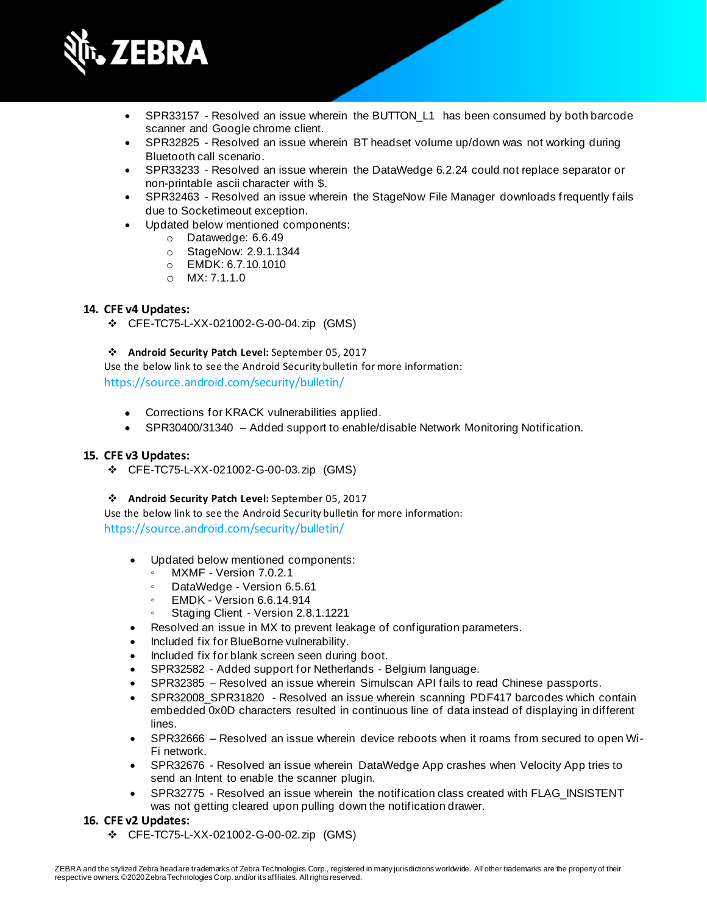

- SPR33157 Resolved an issue wherein the BUTTON L1 has been consumed by both barcode scanner and Google chrome client.
- SPR32825 Resolved an issue wherein BT headset volume up/down was not working during Bluetooth call scenario.
- SPR33233 Resolved an issue wherein the DataWedge 6.2.24 could not replace separator or non-printable ascii character with \$.
- SPR32463 Resolved an issue wherein the StageNow File Manager downloads frequently fails due to Socketimeout exception.
- Updated below mentioned components:
	- o Datawedge: 6.6.49
		- o StageNow: 2.9.1.1344
		- $O$  EMDK: 6.7.10.1010
		- o MX: 7.1.1.0

#### **14. CFE v4 Updates:**

❖ CFE-TC75-L-XX-021002-G-00-04.zip (GMS)

❖ **Android Security Patch Level:** September 05, 2017

Use the below link to see the Android Security bulletin for more information:

<https://source.android.com/security/bulletin/>

- Corrections for KRACK vulnerabilities applied.
- SPR30400/31340 Added support to enable/disable Network Monitoring Notification.

#### **15. CFE v3 Updates:**

- ❖ CFE-TC75-L-XX-021002-G-00-03.zip (GMS)
- ❖ **Android Security Patch Level:** September 05, 2017

Use the below link to see the Android Security bulletin for more information: <https://source.android.com/security/bulletin/>

- Updated below mentioned components:
	- MXMF Version 7.0.2.1
	- DataWedge Version 6.5.61
	- **EMDK Version 6.6.14.914**
	- Staging Client Version 2.8.1.1221
- Resolved an issue in MX to prevent leakage of configuration parameters.
- Included fix for BlueBorne vulnerability.
- Included fix for blank screen seen during boot.
- SPR32582 Added support for Netherlands Belgium language.
- SPR32385 Resolved an issue wherein Simulscan API fails to read Chinese passports.
- SPR32008 SPR31820 Resolved an issue wherein scanning PDF417 barcodes which contain embedded 0x0D characters resulted in continuous line of data instead of displaying in different lines.
- SPR32666 Resolved an issue wherein device reboots when it roams from secured to open Wi-Fi network.
- SPR32676 Resolved an issue wherein DataWedge App crashes when Velocity App tries to send an Intent to enable the scanner plugin.
- SPR32775 Resolved an issue wherein the notification class created with FLAG\_INSISTENT was not getting cleared upon pulling down the notification drawer.

#### **16. CFE v2 Updates:**

❖ CFE-TC75-L-XX-021002-G-00-02.zip (GMS)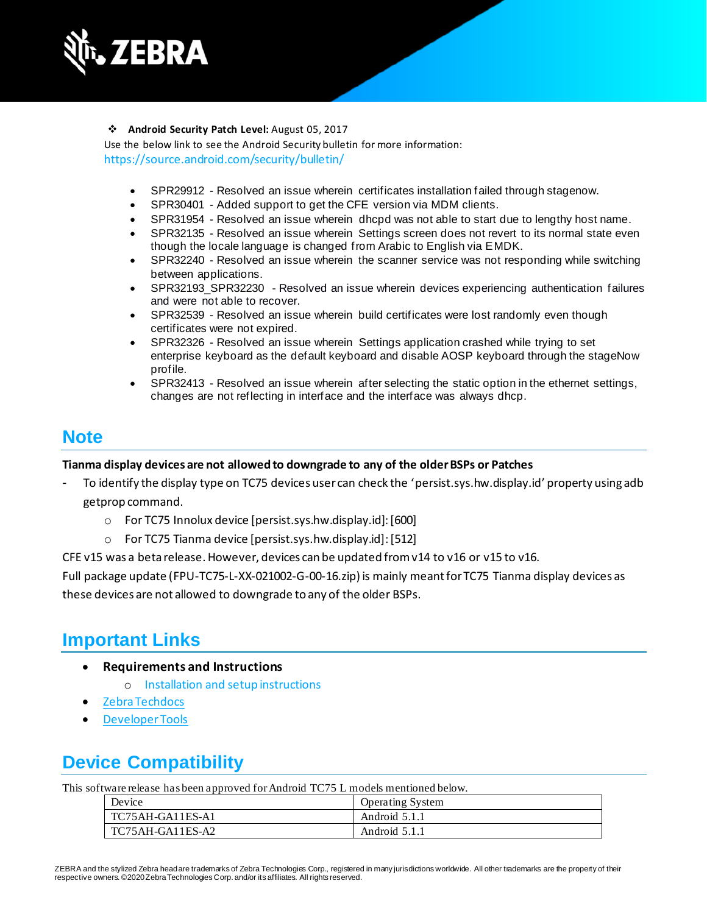

#### ❖ **Android Security Patch Level:** August 05, 2017

Use the below link to see the Android Security bulletin for more information:

<https://source.android.com/security/bulletin/>

- SPR29912 Resolved an issue wherein certificates installation failed through stagenow.
- SPR30401 Added support to get the CFE version via MDM clients.
- SPR31954 Resolved an issue wherein dhcpd was not able to start due to lengthy host name.
- SPR32135 Resolved an issue wherein Settings screen does not revert to its normal state even though the locale language is changed from Arabic to English via EMDK.
- SPR32240 Resolved an issue wherein the scanner service was not responding while switching between applications.
- SPR32193 SPR32230 Resolved an issue wherein devices experiencing authentication failures and were not able to recover.
- SPR32539 Resolved an issue wherein build certificates were lost randomly even though certificates were not expired.
- SPR32326 Resolved an issue wherein Settings application crashed while trying to set enterprise keyboard as the default keyboard and disable AOSP keyboard through the stageNow profile.
- SPR32413 Resolved an issue wherein after selecting the static option in the ethernet settings, changes are not reflecting in interface and the interface was always dhcp.

# **Note**

### **Tianma display devices are not allowed to downgrade to any of the older BSPs or Patches**

- To identify the display type on TC75 devices user can check the 'persist.sys.hw.display.id' property using adb getprop command.
	- o For TC75 Innolux device [persist.sys.hw.display.id]: [600]
	- o For TC75 Tianma device [persist.sys.hw.display.id]: [512]

CFE v15 was a beta release. However, devices can be updated from v14 to v16 or v15 to v16.

Full package update (FPU-TC75-L-XX-021002-G-00-16.zip) is mainly meant for TC75 Tianma display devices as these devices are not allowed to downgrade to any of the older BSPs.

# **Important Links**

- **Requirements and Instructions** 
	- o [Installation and setup instructions](https://www.zebra.com/content/dam/zebra_new_ia/en-us/software/operating-system/TC75%20Operating%20System/tc75-l-os-update-instructions.pdf)
- [Zebra Techdocs](https://techdocs.zebra.com/)
- [Developer Tools](https://developer.zebra.com/)

# **Device Compatibility**

This software release has been approved for Android TC75 L models mentioned below.

| Device           | <b>Operating System</b> |
|------------------|-------------------------|
| TC75AH-GA11ES-A1 | Android 5.1.1           |
| TC75AH-GA11ES-A2 | Android 5.1.1           |